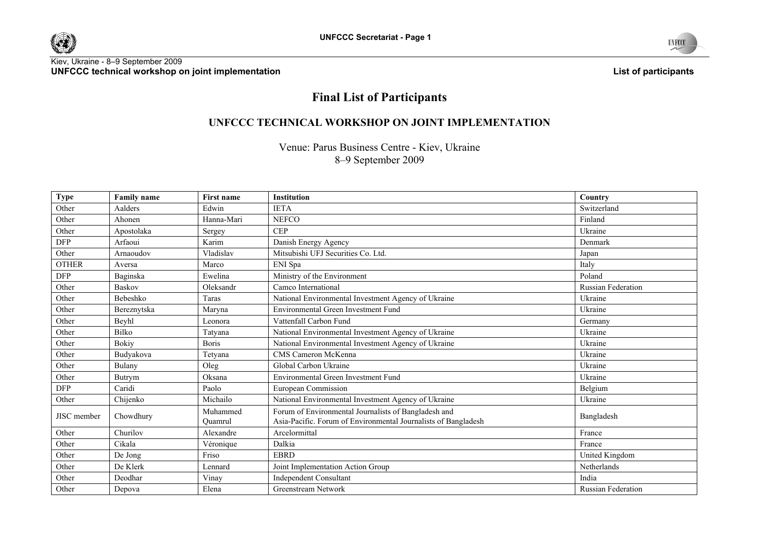





# **Final List of Participants**

# **UNFCCC TECHNICAL WORKSHOP ON JOINT IMPLEMENTATION**

Venue: Parus Business Centre - Kiev, Ukraine 8-9 September 2009

| <b>Type</b>        | <b>Family name</b> | First name          | Institution                                                                                                            | Country                   |
|--------------------|--------------------|---------------------|------------------------------------------------------------------------------------------------------------------------|---------------------------|
| Other              | Aalders            | Edwin               | <b>IETA</b>                                                                                                            | Switzerland               |
| Other              | Ahonen             | Hanna-Mari          | <b>NEFCO</b>                                                                                                           | Finland                   |
| Other              | Apostolaka         | Sergey              | <b>CEP</b>                                                                                                             | Ukraine                   |
| <b>DFP</b>         | Arfaoui            | Karim               | Danish Energy Agency                                                                                                   | Denmark                   |
| Other              | Arnaoudov          | Vladislav           | Mitsubishi UFJ Securities Co. Ltd.                                                                                     | Japan                     |
| <b>OTHER</b>       | Aversa             | Marco               | ENI Spa                                                                                                                | Italy                     |
| <b>DFP</b>         | Baginska           | Ewelina             | Ministry of the Environment                                                                                            | Poland                    |
| Other              | <b>Baskov</b>      | Oleksandr           | Camco International                                                                                                    | Russian Federation        |
| Other              | Bebeshko           | Taras               | National Environmental Investment Agency of Ukraine                                                                    | Ukraine                   |
| Other              | Bereznytska        | Maryna              | Environmental Green Investment Fund                                                                                    | Ukraine                   |
| Other              | Beyhl              | Leonora             | Vattenfall Carbon Fund                                                                                                 | Germany                   |
| Other              | <b>Bilko</b>       | Tatyana             | National Environmental Investment Agency of Ukraine                                                                    | Ukraine                   |
| Other              | <b>Bokiy</b>       | <b>Boris</b>        | National Environmental Investment Agency of Ukraine                                                                    | Ukraine                   |
| Other              | Budyakova          | Tetyana             | CMS Cameron McKenna                                                                                                    | Ukraine                   |
| Other              | Bulany             | Oleg                | Global Carbon Ukraine                                                                                                  | Ukraine                   |
| Other              | Butrym             | Oksana              | Environmental Green Investment Fund                                                                                    | Ukraine                   |
| <b>DFP</b>         | Caridi             | Paolo               | European Commission                                                                                                    | Belgium                   |
| Other              | Chijenko           | Michailo            | National Environmental Investment Agency of Ukraine                                                                    | Ukraine                   |
| <b>JISC</b> member | Chowdhury          | Muhammed<br>Ouamrul | Forum of Environmental Journalists of Bangladesh and<br>Asia-Pacific. Forum of Environmental Journalists of Bangladesh | Bangladesh                |
| Other              | Churilov           | Alexandre           | Arcelormittal                                                                                                          | France                    |
| Other              | Cikala             | Véronique           | Dalkia                                                                                                                 | France                    |
| Other              | De Jong            | Friso               | <b>EBRD</b>                                                                                                            | United Kingdom            |
| Other              | De Klerk           | Lennard             | Joint Implementation Action Group                                                                                      | Netherlands               |
| Other              | Deodhar            | Vinay               | <b>Independent Consultant</b>                                                                                          | India                     |
| Other              | Depova             | Elena               | Greenstream Network                                                                                                    | <b>Russian Federation</b> |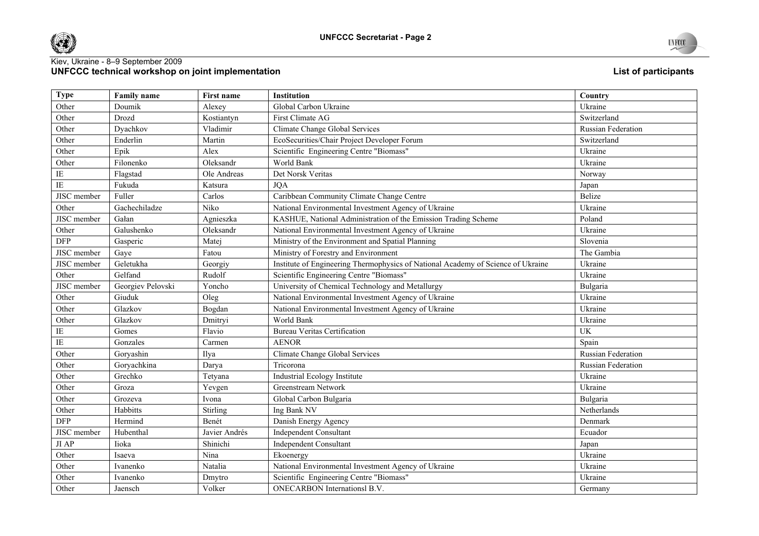



| <b>Type</b>            | <b>Family name</b> | First name    | Institution                                                                      | Country                   |
|------------------------|--------------------|---------------|----------------------------------------------------------------------------------|---------------------------|
| Other                  | Doumik             | Alexey        | Global Carbon Ukraine                                                            | Ukraine                   |
| Other                  | Drozd              | Kostiantyn    | First Climate AG                                                                 | Switzerland               |
| Other                  | Dyachkov           | Vladimir      | Climate Change Global Services                                                   | Russian Federation        |
| Other                  | Enderlin           | Martin        | EcoSecurities/Chair Project Developer Forum                                      | Switzerland               |
| Other                  | Epik               | Alex          | Scientific Engineering Centre "Biomass"                                          | Ukraine                   |
| Other                  | Filonenko          | Oleksandr     | World Bank                                                                       | Ukraine                   |
| $\rm IE$               | Flagstad           | Ole Andreas   | Det Norsk Veritas                                                                | Norway                    |
| $\rm IE$               | Fukuda             | Katsura       | <b>JQA</b>                                                                       | Japan                     |
| JISC member            | Fuller             | Carlos        | Caribbean Community Climate Change Centre                                        | Belize                    |
| Other                  | Gachechiladze      | Niko          | National Environmental Investment Agency of Ukraine                              | Ukraine                   |
| JISC member            | Gałan              | Agnieszka     | KASHUE, National Administration of the Emission Trading Scheme                   | Poland                    |
| Other                  | Galushenko         | Oleksandr     | National Environmental Investment Agency of Ukraine                              | Ukraine                   |
| <b>DFP</b>             | Gasperic           | Matej         | Ministry of the Environment and Spatial Planning                                 | Slovenia                  |
| JISC member            | Gaye               | Fatou         | Ministry of Forestry and Environment                                             | The Gambia                |
| JISC member            | Geletukha          | Georgiy       | Institute of Engineering Thermophysics of National Academy of Science of Ukraine | Ukraine                   |
| Other                  | Gelfand            | Rudolf        | Scientific Engineering Centre "Biomass"                                          | Ukraine                   |
| JISC member            | Georgiev Pelovski  | Yoncho        | University of Chemical Technology and Metallurgy                                 | Bulgaria                  |
| Other                  | Giuduk             | Oleg          | National Environmental Investment Agency of Ukraine                              | Ukraine                   |
| Other                  | Glazkov            | Bogdan        | National Environmental Investment Agency of Ukraine                              | Ukraine                   |
| Other                  | Glazkov            | Dmitryi       | World Bank                                                                       | Ukraine                   |
| $\rm IE$               | Gomes              | Flavio        | <b>Bureau Veritas Certification</b>                                              | <b>UK</b>                 |
| $\overline{\text{IE}}$ | Gonzales           | Carmen        | <b>AENOR</b>                                                                     | Spain                     |
| Other                  | Goryashin          | Ilya          | Climate Change Global Services                                                   | Russian Federation        |
| Other                  | Goryachkina        | Darya         | Tricorona                                                                        | <b>Russian Federation</b> |
| Other                  | Grechko            | Tetyana       | Industrial Ecology Institute                                                     | Ukraine                   |
| Other                  | Groza              | Yevgen        | Greenstream Network                                                              | Ukraine                   |
| Other                  | Grozeva            | Ivona         | Global Carbon Bulgaria                                                           | Bulgaria                  |
| Other                  | Habbitts           | Stirling      | Ing Bank NV                                                                      | Netherlands               |
| <b>DFP</b>             | Hermind            | Benét         | Danish Energy Agency                                                             | Denmark                   |
| JISC member            | Hubenthal          | Javier Andrés | <b>Independent Consultant</b>                                                    | Ecuador                   |
| $JI$ AP                | Iioka              | Shinichi      | <b>Independent Consultant</b>                                                    | Japan                     |
| Other                  | Isaeva             | Nina          | Ekoenergy                                                                        | Ukraine                   |
| Other                  | Ivanenko           | Natalia       | National Environmental Investment Agency of Ukraine                              | Ukraine                   |
| Other                  | Ivanenko           | Dmytro        | Scientific Engineering Centre "Biomass"                                          | Ukraine                   |
| Other                  | Jaensch            | Volker        | <b>ONECARBON</b> Internationsl B.V.                                              | Germany                   |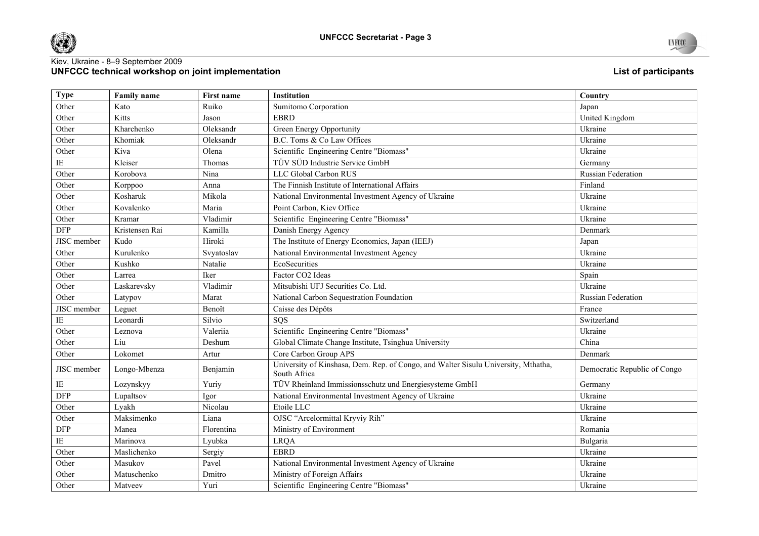



| <b>Type</b> | <b>Family name</b> | <b>First name</b> | <b>Institution</b>                                                                                 | Country                      |
|-------------|--------------------|-------------------|----------------------------------------------------------------------------------------------------|------------------------------|
| Other       | Kato               | Ruiko             | Sumitomo Corporation                                                                               | Japan                        |
| Other       | Kitts              | Jason             | <b>EBRD</b>                                                                                        | United Kingdom               |
| Other       | Kharchenko         | Oleksandr         | Green Energy Opportunity                                                                           | Ukraine                      |
| Other       | Khomiak            | Oleksandr         | B.C. Toms & Co Law Offices                                                                         | Ukraine                      |
| Other       | Kiva               | Olena             | Scientific Engineering Centre "Biomass"                                                            | Ukraine                      |
| $\rm IE$    | Kleiser            | Thomas            | TÜV SÜD Industrie Service GmbH                                                                     | Germany                      |
| Other       | Korobova           | Nina              | LLC Global Carbon RUS                                                                              | Russian Federation           |
| Other       | Korppoo            | Anna              | The Finnish Institute of International Affairs                                                     | Finland                      |
| Other       | Kosharuk           | Mikola            | National Environmental Investment Agency of Ukraine                                                | Ukraine                      |
| Other       | Kovalenko          | Maria             | Point Carbon, Kiev Office                                                                          | Ukraine                      |
| Other       | Kramar             | Vladimir          | Scientific Engineering Centre "Biomass"                                                            | Ukraine                      |
| <b>DFP</b>  | Kristensen Rai     | Kamilla           | Danish Energy Agency                                                                               | Denmark                      |
| JISC member | Kudo               | Hiroki            | The Institute of Energy Economics, Japan (IEEJ)                                                    | Japan                        |
| Other       | Kurulenko          | Svyatoslav        | National Environmental Investment Agency                                                           | Ukraine                      |
| Other       | Kushko             | Natalie           | EcoSecurities                                                                                      | Ukraine                      |
| Other       | Larrea             | Iker              | Factor CO2 Ideas                                                                                   | Spain                        |
| Other       | Laskarevsky        | Vladimir          | Mitsubishi UFJ Securities Co. Ltd.                                                                 | Ukraine                      |
| Other       | Latypov            | Marat             | National Carbon Sequestration Foundation                                                           | Russian Federation           |
| JISC member | Leguet             | Benoît            | Caisse des Dépôts                                                                                  | France                       |
| IE          | Leonardi           | Silvio            | SOS                                                                                                | Switzerland                  |
| Other       | Leznova            | Valeriia          | Scientific Engineering Centre "Biomass"                                                            | Ukraine                      |
| Other       | Liu                | Deshum            | Global Climate Change Institute, Tsinghua University                                               | China                        |
| Other       | Lokomet            | Artur             | Core Carbon Group APS                                                                              | Denmark                      |
| JISC member | Longo-Mbenza       | Benjamin          | University of Kinshasa, Dem. Rep. of Congo, and Walter Sisulu University, Mthatha,<br>South Africa | Democratic Republic of Congo |
| $\rm IE$    | Lozynskyy          | Yuriy             | TÜV Rheinland Immissionsschutz und Energiesysteme GmbH                                             | Germany                      |
| <b>DFP</b>  | Lupaltsov          | Igor              | National Environmental Investment Agency of Ukraine                                                | Ukraine                      |
| Other       | Lyakh              | Nicolau           | Etoile LLC                                                                                         | Ukraine                      |
| Other       | Maksimenko         | Liana             | OJSC "Arcelormittal Kryviy Rih"                                                                    | Ukraine                      |
| <b>DFP</b>  | Manea              | Florentina        | Ministry of Environment                                                                            | Romania                      |
| $\rm IE$    | Marinova           | Lyubka            | <b>LRQA</b>                                                                                        | Bulgaria                     |
| Other       | Maslichenko        | Sergiy            | <b>EBRD</b>                                                                                        | Ukraine                      |
| Other       | Masukov            | Pavel             | National Environmental Investment Agency of Ukraine                                                | Ukraine                      |
| Other       | Matuschenko        | Dmitro            | Ministry of Foreign Affairs                                                                        | Ukraine                      |
| Other       | Matyeev            | Yuri              | Scientific Engineering Centre "Biomass"                                                            | Ukraine                      |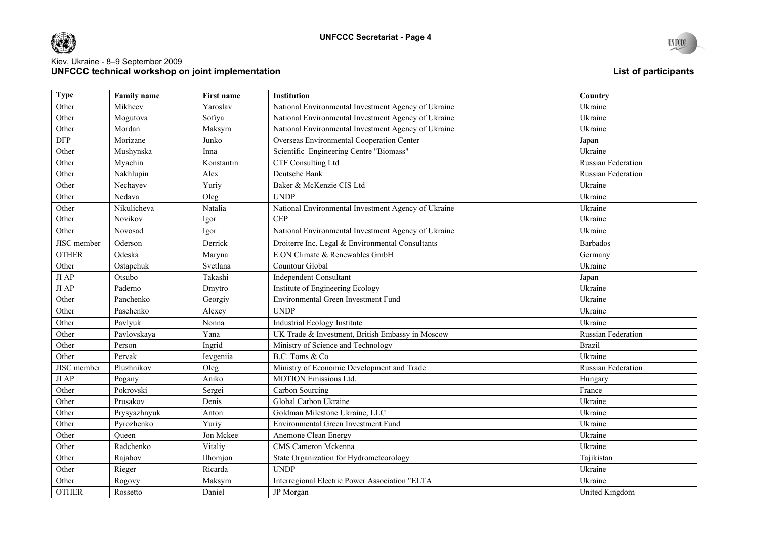



| <b>Type</b>  | <b>Family name</b> | First name | Institution                                         | Country            |
|--------------|--------------------|------------|-----------------------------------------------------|--------------------|
| Other        | Mikheev            | Yaroslav   | National Environmental Investment Agency of Ukraine | Ukraine            |
| Other        | Mogutova           | Sofiya     | National Environmental Investment Agency of Ukraine | Ukraine            |
| Other        | Mordan             | Maksym     | National Environmental Investment Agency of Ukraine | Ukraine            |
| <b>DFP</b>   | Morizane           | Junko      | Overseas Environmental Cooperation Center           | Japan              |
| Other        | Mushynska          | Inna       | Scientific Engineering Centre "Biomass"             | Ukraine            |
| Other        | Myachin            | Konstantin | CTF Consulting Ltd                                  | Russian Federation |
| Other        | Nakhlupin          | Alex       | Deutsche Bank                                       | Russian Federation |
| Other        | Nechayev           | Yuriy      | Baker & McKenzie CIS Ltd                            | Ukraine            |
| Other        | Nedava             | Oleg       | <b>UNDP</b>                                         | Ukraine            |
| Other        | Nikulicheva        | Natalia    | National Environmental Investment Agency of Ukraine | Ukraine            |
| Other        | Novikov            | Igor       | <b>CEP</b>                                          | Ukraine            |
| Other        | Novosad            | Igor       | National Environmental Investment Agency of Ukraine | Ukraine            |
| JISC member  | Oderson            | Derrick    | Droiterre Inc. Legal & Environmental Consultants    | <b>Barbados</b>    |
| <b>OTHER</b> | Odeska             | Maryna     | E.ON Climate & Renewables GmbH                      | Germany            |
| Other        | Ostapchuk          | Svetlana   | Countour Global                                     | Ukraine            |
| $JI$ AP      | Otsubo             | Takashi    | <b>Independent Consultant</b>                       | Japan              |
| $JI$ AP      | Paderno            | Dmytro     | Institute of Engineering Ecology                    | Ukraine            |
| Other        | Panchenko          | Georgiy    | Environmental Green Investment Fund                 | Ukraine            |
| Other        | Paschenko          | Alexey     | <b>UNDP</b>                                         | Ukraine            |
| Other        | Pavlyuk            | Nonna      | Industrial Ecology Institute                        | Ukraine            |
| Other        | Pavlovskaya        | Yana       | UK Trade & Investment, British Embassy in Moscow    | Russian Federation |
| Other        | Person             | Ingrid     | Ministry of Science and Technology                  | <b>Brazil</b>      |
| Other        | Pervak             | Ievgeniia  | B.C. Toms & Co                                      | Ukraine            |
| JISC member  | Pluzhnikov         | Oleg       | Ministry of Economic Development and Trade          | Russian Federation |
| $JI$ AP      | Pogany             | Aniko      | <b>MOTION Emissions Ltd.</b>                        | Hungary            |
| Other        | Pokrovski          | Sergei     | Carbon Sourcing                                     | France             |
| Other        | Prusakov           | Denis      | Global Carbon Ukraine                               | Ukraine            |
| Other        | Prysyazhnyuk       | Anton      | Goldman Milestone Ukraine, LLC                      | Ukraine            |
| Other        | Pyrozhenko         | Yuriy      | Environmental Green Investment Fund                 | Ukraine            |
| Other        | Queen              | Jon Mckee  | Anemone Clean Energy                                | Ukraine            |
| Other        | Radchenko          | Vitaliy    | CMS Cameron Mckenna                                 | Ukraine            |
| Other        | Rajabov            | Ilhomjon   | State Organization for Hydrometeorology             | Tajikistan         |
| Other        | Rieger             | Ricarda    | <b>UNDP</b>                                         | Ukraine            |
| Other        | Rogovy             | Maksym     | Interregional Electric Power Association "ELTA      | Ukraine            |
| <b>OTHER</b> | Rossetto           | Daniel     | JP Morgan                                           | United Kingdom     |

UNFCCC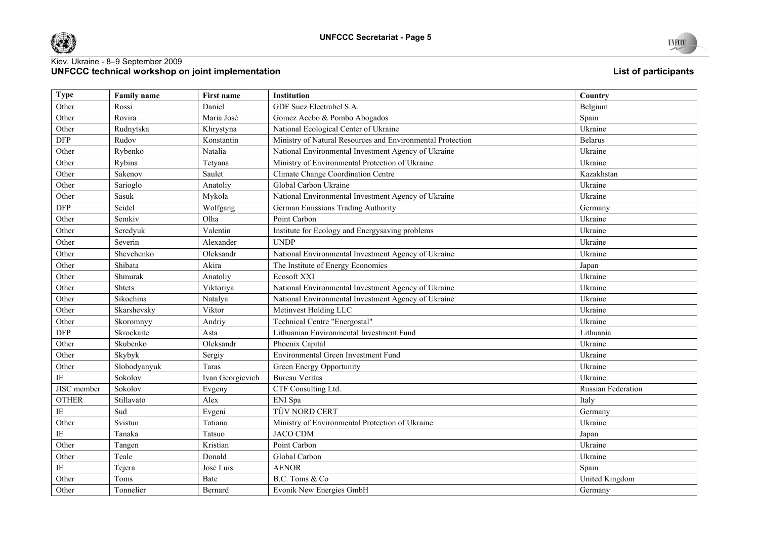



| <b>Type</b>            | <b>Family name</b> | First name       | <b>Institution</b>                                         | Country                   |
|------------------------|--------------------|------------------|------------------------------------------------------------|---------------------------|
| Other                  | Rossi              | Daniel           | GDF Suez Electrabel S.A.                                   | Belgium                   |
|                        |                    |                  |                                                            |                           |
| Other                  | Rovira             | Maria José       | Gomez Acebo & Pombo Abogados                               | Spain                     |
| Other                  | Rudnytska          | Khrystyna        | National Ecological Center of Ukraine                      | Ukraine                   |
| <b>DFP</b>             | Rudov              | Konstantin       | Ministry of Natural Resources and Environmental Protection | <b>Belarus</b>            |
| Other                  | Rybenko            | Natalia          | National Environmental Investment Agency of Ukraine        | Ukraine                   |
| Other                  | Rybina             | Tetyana          | Ministry of Environmental Protection of Ukraine            | Ukraine                   |
| Other                  | Sakenov            | Saulet           | Climate Change Coordination Centre                         | Kazakhstan                |
| Other                  | Sarioglo           | Anatoliy         | Global Carbon Ukraine                                      | Ukraine                   |
| Other                  | $S\!$              | Mykola           | National Environmental Investment Agency of Ukraine        | Ukraine                   |
| <b>DFP</b>             | Seidel             | Wolfgang         | German Emissions Trading Authority                         | Germany                   |
| Other                  | Semkiv             | Olha             | Point Carbon                                               | Ukraine                   |
| Other                  | Seredyuk           | Valentin         | Institute for Ecology and Energysaving problems            | Ukraine                   |
| Other                  | Severin            | Alexander        | <b>UNDP</b>                                                | Ukraine                   |
| Other                  | Shevchenko         | Oleksandr        | National Environmental Investment Agency of Ukraine        | Ukraine                   |
| Other                  | Shibata            | Akira            | The Institute of Energy Economics                          | Japan                     |
| Other                  | Shmurak            | Anatoliy         | Ecosoft XXI                                                | Ukraine                   |
| Other                  | Shtets             | Viktoriya        | National Environmental Investment Agency of Ukraine        | Ukraine                   |
| Other                  | Sikochina          | Natalya          | National Environmental Investment Agency of Ukraine        | Ukraine                   |
| Other                  | Skarshevsky        | Viktor           | Metinvest Holding LLC                                      | Ukraine                   |
| Other                  | Skoromnyy          | Andriy           | Technical Centre "Energostal"                              | Ukraine                   |
| <b>DFP</b>             | Skrockaite         | Asta             | Lithuanian Environmental Investment Fund                   | Lithuania                 |
| Other                  | Skubenko           | Oleksandr        | Phoenix Capital                                            | Ukraine                   |
| Other                  | Skybyk             | Sergiy           | Environmental Green Investment Fund                        | Ukraine                   |
| Other                  | Slobodyanyuk       | Taras            | Green Energy Opportunity                                   | Ukraine                   |
| IE                     | Sokolov            | Ivan Georgievich | <b>Bureau Veritas</b>                                      | Ukraine                   |
| JISC member            | Sokolov            | Evgeny           | CTF Consulting Ltd.                                        | <b>Russian Federation</b> |
| <b>OTHER</b>           | Stillavato         | Alex             | ENI Spa                                                    | Italy                     |
| $\rm IE$               | Sud                | Evgeni           | TÜV NORD CERT                                              | Germany                   |
| Other                  | Svistun            | Tatiana          | Ministry of Environmental Protection of Ukraine            | Ukraine                   |
| $\overline{\text{IE}}$ | Tanaka             | Tatsuo           | <b>JACO CDM</b>                                            | Japan                     |
| Other                  | Tangen             | Kristian         | Point Carbon                                               | Ukraine                   |
| Other                  | Teale              | Donald           | Global Carbon                                              | Ukraine                   |
| $\rm IE$               | Tejera             | José Luis        | <b>AENOR</b>                                               | Spain                     |
| Other                  | Toms               | Bate             | B.C. Toms & Co                                             | United Kingdom            |
| Other                  | Tonnelier          | Bernard          | Evonik New Energies GmbH                                   | Germany                   |